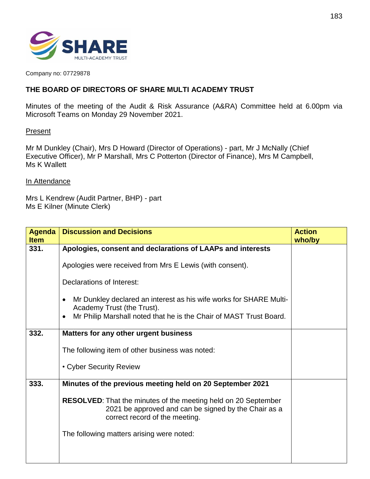

Company no: 07729878

## **THE BOARD OF DIRECTORS OF SHARE MULTI ACADEMY TRUST**

Minutes of the meeting of the Audit & Risk Assurance (A&RA) Committee held at 6.00pm via Microsoft Teams on Monday 29 November 2021.

## **Present**

Mr M Dunkley (Chair), Mrs D Howard (Director of Operations) - part, Mr J McNally (Chief Executive Officer), Mr P Marshall, Mrs C Potterton (Director of Finance), Mrs M Campbell, Ms K Wallett

## In Attendance

Mrs L Kendrew (Audit Partner, BHP) - part Ms E Kilner (Minute Clerk)

| <b>Agenda</b> | <b>Discussion and Decisions</b>                                                                                                                                                     | <b>Action</b> |
|---------------|-------------------------------------------------------------------------------------------------------------------------------------------------------------------------------------|---------------|
| <b>Item</b>   |                                                                                                                                                                                     | who/by        |
| 331.          | Apologies, consent and declarations of LAAPs and interests                                                                                                                          |               |
|               | Apologies were received from Mrs E Lewis (with consent).                                                                                                                            |               |
|               | Declarations of Interest:                                                                                                                                                           |               |
|               | Mr Dunkley declared an interest as his wife works for SHARE Multi-<br>Academy Trust (the Trust).<br>Mr Philip Marshall noted that he is the Chair of MAST Trust Board.<br>$\bullet$ |               |
| 332.          | Matters for any other urgent business                                                                                                                                               |               |
|               |                                                                                                                                                                                     |               |
|               | The following item of other business was noted:                                                                                                                                     |               |
|               | • Cyber Security Review                                                                                                                                                             |               |
| 333.          | Minutes of the previous meeting held on 20 September 2021                                                                                                                           |               |
|               | <b>RESOLVED:</b> That the minutes of the meeting held on 20 September<br>2021 be approved and can be signed by the Chair as a<br>correct record of the meeting.                     |               |
|               | The following matters arising were noted:                                                                                                                                           |               |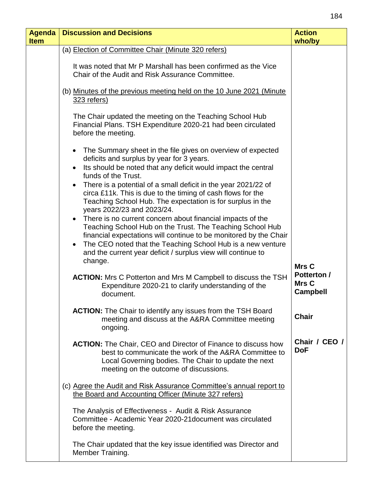| <b>Agenda</b><br><b>Item</b> | <b>Discussion and Decisions</b>                                                                                                                                                                                                                                                                                                                                                                                                                                                                                                                                                                                                                                                                | <b>Action</b><br>who/by                        |
|------------------------------|------------------------------------------------------------------------------------------------------------------------------------------------------------------------------------------------------------------------------------------------------------------------------------------------------------------------------------------------------------------------------------------------------------------------------------------------------------------------------------------------------------------------------------------------------------------------------------------------------------------------------------------------------------------------------------------------|------------------------------------------------|
|                              | (a) Election of Committee Chair (Minute 320 refers)                                                                                                                                                                                                                                                                                                                                                                                                                                                                                                                                                                                                                                            |                                                |
|                              | It was noted that Mr P Marshall has been confirmed as the Vice<br>Chair of the Audit and Risk Assurance Committee.                                                                                                                                                                                                                                                                                                                                                                                                                                                                                                                                                                             |                                                |
|                              | (b) Minutes of the previous meeting held on the 10 June 2021 (Minute<br>323 refers)                                                                                                                                                                                                                                                                                                                                                                                                                                                                                                                                                                                                            |                                                |
|                              | The Chair updated the meeting on the Teaching School Hub<br>Financial Plans. TSH Expenditure 2020-21 had been circulated<br>before the meeting.                                                                                                                                                                                                                                                                                                                                                                                                                                                                                                                                                |                                                |
|                              | • The Summary sheet in the file gives on overview of expected<br>deficits and surplus by year for 3 years.<br>Its should be noted that any deficit would impact the central<br>funds of the Trust.<br>There is a potential of a small deficit in the year 2021/22 of<br>circa £11k. This is due to the timing of cash flows for the<br>Teaching School Hub. The expectation is for surplus in the<br>years 2022/23 and 2023/24.<br>There is no current concern about financial impacts of the<br>Teaching School Hub on the Trust. The Teaching School Hub<br>financial expectations will continue to be monitored by the Chair<br>The CEO noted that the Teaching School Hub is a new venture |                                                |
|                              | and the current year deficit / surplus view will continue to<br>change.                                                                                                                                                                                                                                                                                                                                                                                                                                                                                                                                                                                                                        | Mrs C                                          |
|                              | <b>ACTION:</b> Mrs C Potterton and Mrs M Campbell to discuss the TSH<br>Expenditure 2020-21 to clarify understanding of the<br>document.                                                                                                                                                                                                                                                                                                                                                                                                                                                                                                                                                       | <b>Potterton /</b><br>Mrs C<br><b>Campbell</b> |
|                              | <b>ACTION:</b> The Chair to identify any issues from the TSH Board<br>meeting and discuss at the A&RA Committee meeting<br>ongoing.                                                                                                                                                                                                                                                                                                                                                                                                                                                                                                                                                            | <b>Chair</b>                                   |
|                              | <b>ACTION:</b> The Chair, CEO and Director of Finance to discuss how<br>best to communicate the work of the A&RA Committee to<br>Local Governing bodies. The Chair to update the next<br>meeting on the outcome of discussions.                                                                                                                                                                                                                                                                                                                                                                                                                                                                | Chair / CEO /<br><b>DoF</b>                    |
|                              | (c) Agree the Audit and Risk Assurance Committee's annual report to<br>the Board and Accounting Officer (Minute 327 refers)                                                                                                                                                                                                                                                                                                                                                                                                                                                                                                                                                                    |                                                |
|                              | The Analysis of Effectiveness - Audit & Risk Assurance<br>Committee - Academic Year 2020-21 document was circulated<br>before the meeting.                                                                                                                                                                                                                                                                                                                                                                                                                                                                                                                                                     |                                                |
|                              | The Chair updated that the key issue identified was Director and<br>Member Training.                                                                                                                                                                                                                                                                                                                                                                                                                                                                                                                                                                                                           |                                                |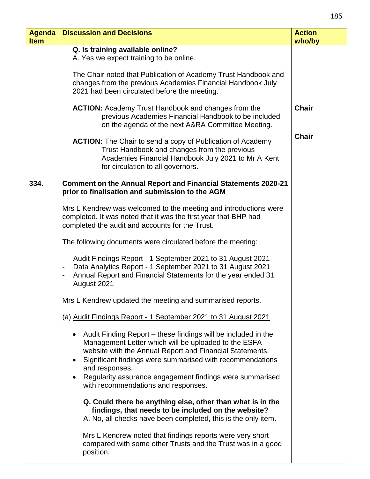| <b>Agenda</b><br><b>Item</b> | <b>Discussion and Decisions</b>                                                                                                                                                                                                                                                                                                                                       | <b>Action</b><br>who/by |
|------------------------------|-----------------------------------------------------------------------------------------------------------------------------------------------------------------------------------------------------------------------------------------------------------------------------------------------------------------------------------------------------------------------|-------------------------|
|                              | Q. Is training available online?<br>A. Yes we expect training to be online.                                                                                                                                                                                                                                                                                           |                         |
|                              | The Chair noted that Publication of Academy Trust Handbook and<br>changes from the previous Academies Financial Handbook July<br>2021 had been circulated before the meeting.                                                                                                                                                                                         |                         |
|                              | <b>ACTION:</b> Academy Trust Handbook and changes from the<br>previous Academies Financial Handbook to be included<br>on the agenda of the next A&RA Committee Meeting.                                                                                                                                                                                               | <b>Chair</b>            |
|                              | <b>ACTION:</b> The Chair to send a copy of Publication of Academy<br>Trust Handbook and changes from the previous<br>Academies Financial Handbook July 2021 to Mr A Kent<br>for circulation to all governors.                                                                                                                                                         | <b>Chair</b>            |
| 334.                         | <b>Comment on the Annual Report and Financial Statements 2020-21</b><br>prior to finalisation and submission to the AGM                                                                                                                                                                                                                                               |                         |
|                              | Mrs L Kendrew was welcomed to the meeting and introductions were<br>completed. It was noted that it was the first year that BHP had<br>completed the audit and accounts for the Trust.                                                                                                                                                                                |                         |
|                              | The following documents were circulated before the meeting:                                                                                                                                                                                                                                                                                                           |                         |
|                              | Audit Findings Report - 1 September 2021 to 31 August 2021<br>Data Analytics Report - 1 September 2021 to 31 August 2021<br>Annual Report and Financial Statements for the year ended 31<br>$\blacksquare$<br>August 2021                                                                                                                                             |                         |
|                              | Mrs L Kendrew updated the meeting and summarised reports.                                                                                                                                                                                                                                                                                                             |                         |
|                              | (a) Audit Findings Report - 1 September 2021 to 31 August 2021                                                                                                                                                                                                                                                                                                        |                         |
|                              | • Audit Finding Report – these findings will be included in the<br>Management Letter which will be uploaded to the ESFA<br>website with the Annual Report and Financial Statements.<br>Significant findings were summarised with recommendations<br>and responses.<br>Regularity assurance engagement findings were summarised<br>with recommendations and responses. |                         |
|                              | Q. Could there be anything else, other than what is in the<br>findings, that needs to be included on the website?<br>A. No, all checks have been completed, this is the only item.                                                                                                                                                                                    |                         |
|                              | Mrs L Kendrew noted that findings reports were very short<br>compared with some other Trusts and the Trust was in a good<br>position.                                                                                                                                                                                                                                 |                         |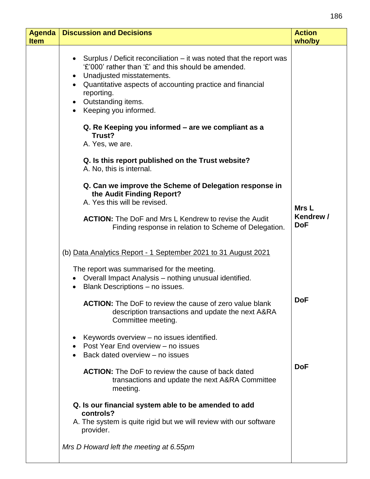| <b>Agenda</b><br><b>Item</b> | <b>Discussion and Decisions</b>                                                                                                                                                                                                                                                           | <b>Action</b><br>who/by |
|------------------------------|-------------------------------------------------------------------------------------------------------------------------------------------------------------------------------------------------------------------------------------------------------------------------------------------|-------------------------|
|                              | Surplus / Deficit reconciliation $-$ it was noted that the report was<br>'£'000' rather than '£' and this should be amended.<br>Unadjusted misstatements.<br>• Quantitative aspects of accounting practice and financial<br>reporting.<br>• Outstanding items.<br>• Keeping you informed. |                         |
|                              | Q. Re Keeping you informed – are we compliant as a<br>Trust?<br>A. Yes, we are.                                                                                                                                                                                                           |                         |
|                              | Q. Is this report published on the Trust website?<br>A. No, this is internal.                                                                                                                                                                                                             |                         |
|                              | Q. Can we improve the Scheme of Delegation response in<br>the Audit Finding Report?<br>A. Yes this will be revised.                                                                                                                                                                       | Mrs L                   |
|                              | <b>ACTION:</b> The DoF and Mrs L Kendrew to revise the Audit<br>Finding response in relation to Scheme of Delegation.                                                                                                                                                                     | Kendrew /<br><b>DoF</b> |
|                              | (b) Data Analytics Report - 1 September 2021 to 31 August 2021                                                                                                                                                                                                                            |                         |
|                              | The report was summarised for the meeting.<br>Overall Impact Analysis - nothing unusual identified.<br>Blank Descriptions - no issues.                                                                                                                                                    |                         |
|                              | <b>ACTION:</b> The DoF to review the cause of zero value blank<br>description transactions and update the next A&RA<br>Committee meeting.                                                                                                                                                 | <b>DoF</b>              |
|                              | Keywords overview - no issues identified.<br>Post Year End overview - no issues<br>Back dated overview - no issues                                                                                                                                                                        |                         |
|                              | <b>ACTION:</b> The DoF to review the cause of back dated<br>transactions and update the next A&RA Committee<br>meeting.                                                                                                                                                                   | <b>DoF</b>              |
|                              | Q. Is our financial system able to be amended to add<br>controls?<br>A. The system is quite rigid but we will review with our software<br>provider.                                                                                                                                       |                         |
|                              | Mrs D Howard left the meeting at 6.55pm                                                                                                                                                                                                                                                   |                         |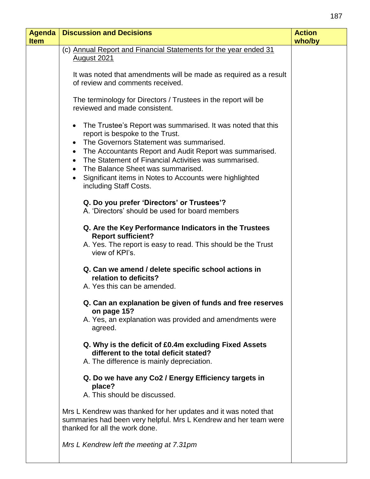| <b>Agenda</b> | <b>Discussion and Decisions</b>                                                                                                                                                                                                                                                                                                                                                                                   | <b>Action</b> |
|---------------|-------------------------------------------------------------------------------------------------------------------------------------------------------------------------------------------------------------------------------------------------------------------------------------------------------------------------------------------------------------------------------------------------------------------|---------------|
| <b>Item</b>   |                                                                                                                                                                                                                                                                                                                                                                                                                   | who/by        |
|               | (c) Annual Report and Financial Statements for the year ended 31<br><u>August 2021</u>                                                                                                                                                                                                                                                                                                                            |               |
|               | It was noted that amendments will be made as required as a result<br>of review and comments received.                                                                                                                                                                                                                                                                                                             |               |
|               | The terminology for Directors / Trustees in the report will be<br>reviewed and made consistent.                                                                                                                                                                                                                                                                                                                   |               |
|               | The Trustee's Report was summarised. It was noted that this<br>$\bullet$<br>report is bespoke to the Trust.<br>The Governors Statement was summarised.<br>The Accountants Report and Audit Report was summarised.<br>$\bullet$<br>The Statement of Financial Activities was summarised.<br>The Balance Sheet was summarised.<br>Significant items in Notes to Accounts were highlighted<br>including Staff Costs. |               |
|               | Q. Do you prefer 'Directors' or Trustees'?<br>A. 'Directors' should be used for board members                                                                                                                                                                                                                                                                                                                     |               |
|               | Q. Are the Key Performance Indicators in the Trustees<br><b>Report sufficient?</b><br>A. Yes. The report is easy to read. This should be the Trust<br>view of KPI's.                                                                                                                                                                                                                                              |               |
|               | Q. Can we amend / delete specific school actions in<br>relation to deficits?<br>A. Yes this can be amended.                                                                                                                                                                                                                                                                                                       |               |
|               | Q. Can an explanation be given of funds and free reserves<br>on page 15?                                                                                                                                                                                                                                                                                                                                          |               |
|               | A. Yes, an explanation was provided and amendments were<br>agreed.                                                                                                                                                                                                                                                                                                                                                |               |
|               | Q. Why is the deficit of £0.4m excluding Fixed Assets<br>different to the total deficit stated?<br>A. The difference is mainly depreciation.                                                                                                                                                                                                                                                                      |               |
|               | Q. Do we have any Co2 / Energy Efficiency targets in<br>place?<br>A. This should be discussed.                                                                                                                                                                                                                                                                                                                    |               |
|               | Mrs L Kendrew was thanked for her updates and it was noted that<br>summaries had been very helpful. Mrs L Kendrew and her team were<br>thanked for all the work done.                                                                                                                                                                                                                                             |               |
|               | Mrs L Kendrew left the meeting at 7.31pm                                                                                                                                                                                                                                                                                                                                                                          |               |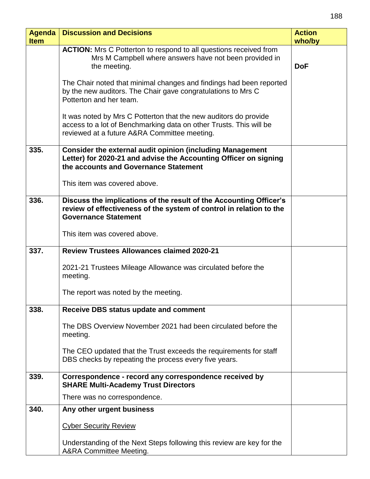| <b>Agenda</b><br><b>Item</b> | <b>Discussion and Decisions</b>                                                                                                                                                        | <b>Action</b><br>who/by |
|------------------------------|----------------------------------------------------------------------------------------------------------------------------------------------------------------------------------------|-------------------------|
|                              | <b>ACTION:</b> Mrs C Potterton to respond to all questions received from<br>Mrs M Campbell where answers have not been provided in<br>the meeting.                                     | <b>DoF</b>              |
|                              | The Chair noted that minimal changes and findings had been reported<br>by the new auditors. The Chair gave congratulations to Mrs C<br>Potterton and her team.                         |                         |
|                              | It was noted by Mrs C Potterton that the new auditors do provide<br>access to a lot of Benchmarking data on other Trusts. This will be<br>reviewed at a future A&RA Committee meeting. |                         |
| 335.                         | <b>Consider the external audit opinion (including Management</b><br>Letter) for 2020-21 and advise the Accounting Officer on signing<br>the accounts and Governance Statement          |                         |
|                              | This item was covered above.                                                                                                                                                           |                         |
| 336.                         | Discuss the implications of the result of the Accounting Officer's<br>review of effectiveness of the system of control in relation to the<br><b>Governance Statement</b>               |                         |
|                              | This item was covered above.                                                                                                                                                           |                         |
| 337.                         | <b>Review Trustees Allowances claimed 2020-21</b>                                                                                                                                      |                         |
|                              | 2021-21 Trustees Mileage Allowance was circulated before the<br>meeting.                                                                                                               |                         |
|                              | The report was noted by the meeting.                                                                                                                                                   |                         |
| 338.                         | <b>Receive DBS status update and comment</b>                                                                                                                                           |                         |
|                              | The DBS Overview November 2021 had been circulated before the<br>meeting.                                                                                                              |                         |
|                              | The CEO updated that the Trust exceeds the requirements for staff<br>DBS checks by repeating the process every five years.                                                             |                         |
| 339.                         | Correspondence - record any correspondence received by<br><b>SHARE Multi-Academy Trust Directors</b>                                                                                   |                         |
|                              | There was no correspondence.                                                                                                                                                           |                         |
| 340.                         | Any other urgent business                                                                                                                                                              |                         |
|                              | <b>Cyber Security Review</b>                                                                                                                                                           |                         |
|                              | Understanding of the Next Steps following this review are key for the<br>A&RA Committee Meeting.                                                                                       |                         |